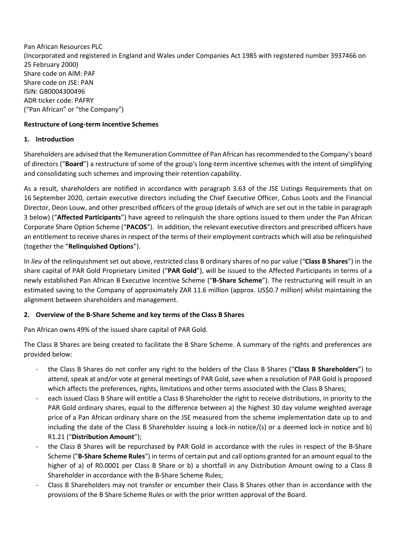Pan African Resources PLC (Incorporated and registered in England and Wales under Companies Act 1985 with registered number 3937466 on 25 February 2000) Share code on AIM: PAF Share code on JSE: PAN ISIN: GB0004300496 ADR ticker code: PAFRY ("Pan African" or "the Company")

# **Restructure of Long-term Incentive Schemes**

# **1. Introduction**

Shareholders are advised that the Remuneration Committee of Pan African has recommended to the Company's board of directors ("**Board**") a restructure of some of the group's long-term incentive schemes with the intent of simplifying and consolidating such schemes and improving their retention capability.

As a result, shareholders are notified in accordance with paragraph 3.63 of the JSE Listings Requirements that on 16 September 2020, certain executive directors including the Chief Executive Officer, Cobus Loots and the Financial Director, Deon Louw, and other prescribed officers of the group (details of which are set out in the table in paragraph [3](#page-1-0) below) ("**Affected Participants**") have agreed to relinquish the share options issued to them under the Pan African Corporate Share Option Scheme ("**PACOS**"). In addition, the relevant executive directors and prescribed officers have an entitlement to receive shares in respect of the terms of their employment contracts which will also be relinquished (together the "**Relinquished Options**").

In *lieu* of the relinquishment set out above, restricted class B ordinary shares of no par value ("**Class B Shares**") in the share capital of PAR Gold Proprietary Limited ("**PAR Gold**"), will be issued to the Affected Participants in terms of a newly established Pan African B Executive Incentive Scheme ("**B-Share Scheme**"). The restructuring will result in an estimated saving to the Company of approximately ZAR 11.6 million (approx. US\$0.7 million) whilst maintaining the alignment between shareholders and management.

# **2. Overview of the B-Share Scheme and key terms of the Class B Shares**

Pan African owns 49% of the issued share capital of PAR Gold.

The Class B Shares are being created to facilitate the B Share Scheme. A summary of the rights and preferences are provided below:

- the Class B Shares do not confer any right to the holders of the Class B Shares ("**Class B Shareholders**") to attend, speak at and/or vote at general meetings of PAR Gold, save when a resolution of PAR Gold is proposed which affects the preferences, rights, limitations and other terms associated with the Class B Shares;
- each issued Class B Share will entitle a Class B Shareholder the right to receive distributions, in priority to the PAR Gold ordinary shares, equal to the difference between a) the highest 30 day volume weighted average price of a Pan African ordinary share on the JSE measured from the scheme implementation date up to and including the date of the Class B Shareholder issuing a lock-in notice/(s) or a deemed lock-in notice and b) R1.21 ("**Distribution Amount**");
- the Class B Shares will be repurchased by PAR Gold in accordance with the rules in respect of the B-Share Scheme ("**B-Share Scheme Rules**") in terms of certain put and call options granted for an amount equal to the higher of a) of R0.0001 per Class B Share or b) a shortfall in any Distribution Amount owing to a Class B Shareholder in accordance with the B-Share Scheme Rules;
- Class B Shareholders may not transfer or encumber their Class B Shares other than in accordance with the provisions of the B Share Scheme Rules or with the prior written approval of the Board.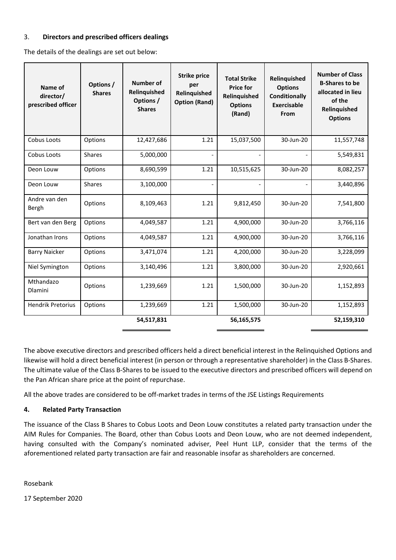#### <span id="page-1-0"></span>3. **Directors and prescribed officers dealings**

The details of the dealings are set out below:

| Name of<br>director/<br>prescribed officer | Options /<br><b>Shares</b> | <b>Number of</b><br>Relinquished<br>Options /<br><b>Shares</b> | <b>Strike price</b><br>per<br>Relinquished<br><b>Option (Rand)</b> | <b>Total Strike</b><br><b>Price for</b><br>Relinquished<br><b>Options</b><br>(Rand) | Relinquished<br><b>Options</b><br><b>Conditionally</b><br><b>Exercisable</b><br>From | <b>Number of Class</b><br><b>B-Shares to be</b><br>allocated in lieu<br>of the<br>Relinquished<br><b>Options</b> |
|--------------------------------------------|----------------------------|----------------------------------------------------------------|--------------------------------------------------------------------|-------------------------------------------------------------------------------------|--------------------------------------------------------------------------------------|------------------------------------------------------------------------------------------------------------------|
| Cobus Loots                                | Options                    | 12,427,686                                                     | 1.21                                                               | 15,037,500                                                                          | 30-Jun-20                                                                            | 11,557,748                                                                                                       |
| Cobus Loots                                | <b>Shares</b>              | 5,000,000                                                      |                                                                    |                                                                                     |                                                                                      | 5,549,831                                                                                                        |
| Deon Louw                                  | Options                    | 8,690,599                                                      | 1.21                                                               | 10,515,625                                                                          | 30-Jun-20                                                                            | 8,082,257                                                                                                        |
| Deon Louw                                  | <b>Shares</b>              | 3,100,000                                                      |                                                                    |                                                                                     |                                                                                      | 3,440,896                                                                                                        |
| Andre van den<br>Bergh                     | Options                    | 8,109,463                                                      | 1.21                                                               | 9,812,450                                                                           | 30-Jun-20                                                                            | 7,541,800                                                                                                        |
| Bert van den Berg                          | Options                    | 4,049,587                                                      | 1.21                                                               | 4,900,000                                                                           | 30-Jun-20                                                                            | 3,766,116                                                                                                        |
| Jonathan Irons                             | Options                    | 4,049,587                                                      | 1.21                                                               | 4,900,000                                                                           | 30-Jun-20                                                                            | 3,766,116                                                                                                        |
| <b>Barry Naicker</b>                       | Options                    | 3,471,074                                                      | 1.21                                                               | 4,200,000                                                                           | 30-Jun-20                                                                            | 3,228,099                                                                                                        |
| Niel Symington                             | Options                    | 3,140,496                                                      | 1.21                                                               | 3,800,000                                                                           | 30-Jun-20                                                                            | 2,920,661                                                                                                        |
| Mthandazo<br><b>Dlamini</b>                | Options                    | 1,239,669                                                      | 1.21                                                               | 1,500,000                                                                           | 30-Jun-20                                                                            | 1,152,893                                                                                                        |
| <b>Hendrik Pretorius</b>                   | Options                    | 1,239,669                                                      | 1.21                                                               | 1,500,000                                                                           | 30-Jun-20                                                                            | 1,152,893                                                                                                        |
|                                            |                            | 54,517,831                                                     |                                                                    | 56,165,575                                                                          |                                                                                      | 52,159,310                                                                                                       |

The above executive directors and prescribed officers held a direct beneficial interest in the Relinquished Options and likewise will hold a direct beneficial interest (in person or through a representative shareholder) in the Class B-Shares. The ultimate value of the Class B-Shares to be issued to the executive directors and prescribed officers will depend on the Pan African share price at the point of repurchase.

All the above trades are considered to be off-market trades in terms of the JSE Listings Requirements

# **4. Related Party Transaction**

The issuance of the Class B Shares to Cobus Loots and Deon Louw constitutes a related party transaction under the AIM Rules for Companies. The Board, other than Cobus Loots and Deon Louw, who are not deemed independent, having consulted with the Company's nominated adviser, Peel Hunt LLP, consider that the terms of the aforementioned related party transaction are fair and reasonable insofar as shareholders are concerned.

Rosebank

17 September 2020